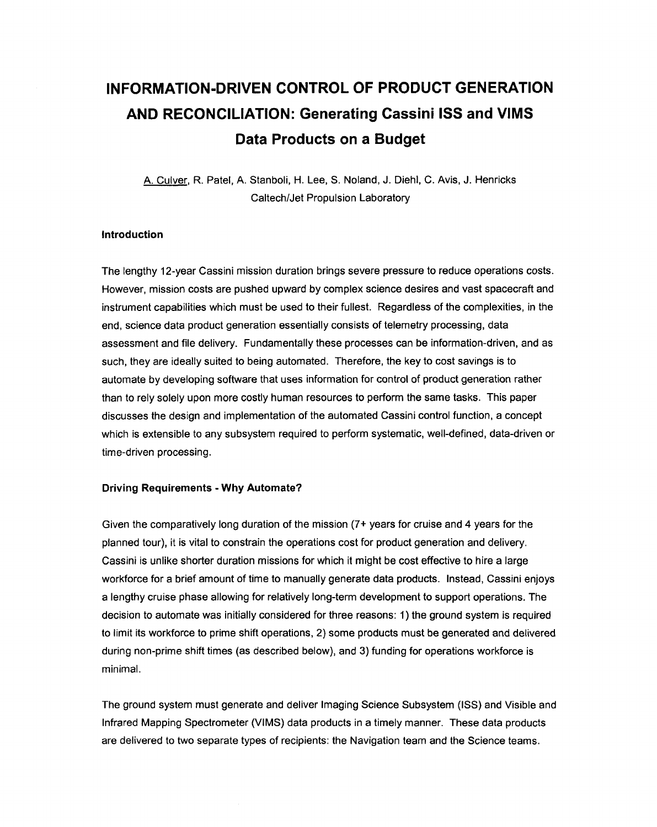# **INFORMATION-DRIVEN CONTROL OF PRODUCT GENERATION AND RECONCILIATION: Generating Cassini ISS and VIMS Data Products on a Budget**

A. Culver, R. Patel, A. Stanboli, H. Lee, *S.* Noland, J. Diehl, C. Avis, **J.** Henricks Caltech/Jet Propulsion Laboratory

## **Introduction**

The lengthy 12-year Cassini mission duration brings severe pressure to reduce operations costs. However, mission costs are pushed upward by complex science desires and vast spacecraft and instrument capabilities which must be used to their fullest. Regardless of the complexities, in the end, science data product generation essentially consists of telemetry processing, data assessment and file delivery. Fundamentally these processes can be information-driven, and as such, they are ideally suited to being automated. Therefore, the key to cost savings is to automate by developing software that uses information for control of product generation rather than to rely solely upon more costly human resources to perform the same tasks. This paper discusses the design and implementation of the automated Cassini control function, a concept which is extensible to any subsystem required to perform systematic, well-defined, data-driven or time-driven processing.

#### **Driving Requirements** - **Why Automate?**

Given the comparatively long duration of the mission (7+ years for cruise and **4** years for the planned tour), it is vital to constrain the operations cost for product generation and delivery. Cassini is unlike shorter duration missions for which it might be cost effective to hire a large workforce for a brief amount of time to manually generate data products. Instead, Cassini enjoys a lengthy cruise phase allowing for relatively long-term development to support operations. The decision to automate was initially considered for three reasons: 1) the ground system is required to limit its workforce to prime shift operations, 2) some products must be generated and delivered during non-prime shift times (as described below), and 3) funding for operations workforce is minimal.

The ground system must generate and deliver Imaging Science Subsystem **(ISS)** and Visible and Infrared Mapping Spectrometer (VIMS) data products in a timely manner. These data products are delivered to **two** separate types of recipients: the Navigation team and the Science teams.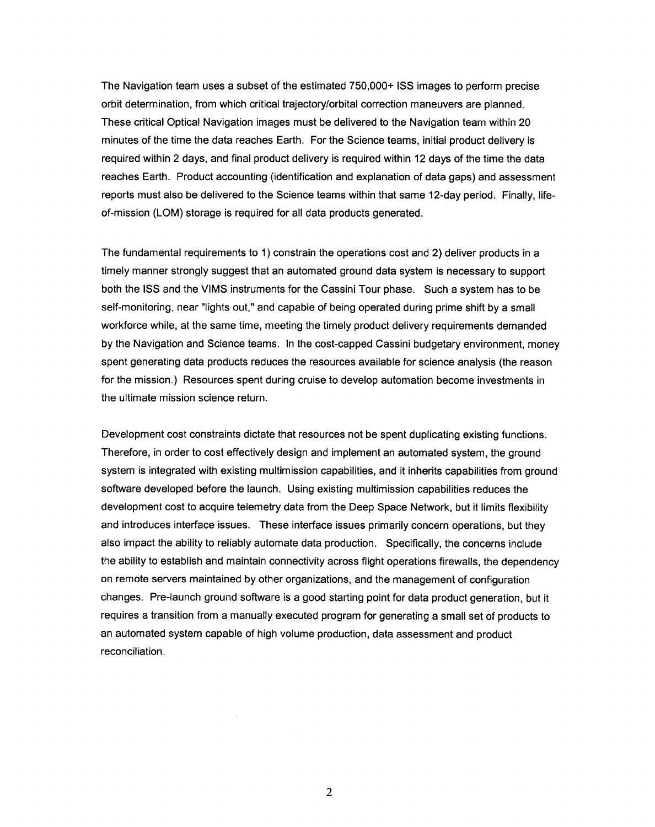The Navigation team uses a subset of the estimated **750,000+ ISS** images to perform precise orbit determination, from which critical trajectory/orbital correction maneuvers are planned. These critical Optical Navigation images must be delivered to the Navigation team within 20 minutes of the time the data reaches Earth. For the Science teams, initial product delivery is required within 2 days, and final product delivery is required within 12 days of the time the data reaches Earth. Product accounting (identification and explanation of data gaps) and assessment reports must also be delivered to the Science teams within that same 12-day period. Finally, lifeof-mission (LOM) storage is required for all data products generated.

The fundamental requirements to 1) constrain the operations cost and 2) deliver products in a timely manner strongly suggest that an automated ground data system is necessary to support both the ISS and the VlMS instruments for the Cassini Tour phase. Such a system has to be self-monitoring, near "lights out," and capable of being operated during prime shift by a small workforce while, at the same time, meeting the timely product delivery requirements demanded by the Navigation and Science teams. In the cost-capped Cassini budgetary environment, money spent generating data products reduces the resources available for science analysis (the reason for the mission.) Resources spent during cruise to develop automation become investments in the ultimate mission science return.

Development cost constraints dictate that resources not be spent duplicating existing functions. Therefore, in order to cost effectively design and implement an automated system, the ground system is integrated with existing multimission capabilities, and it inherits capabilities from ground software developed before the launch. Using existing multimission capabilities reduces the development cost to acquire telemetry data from the Deep Space Network, but it limits flexibility and introduces interface issues. These interface issues primarily concern operations, but they also impact the ability to reliably automate data production. Specifically, the concerns include the ability to establish and maintain connectivity across flight operations firewalls, the dependency on remote servers maintained by other organizations, and the management of configuration changes. Pre-launch ground software is a good starting point for data product generation, but it requires a transition from a manually executed program for generating a small set of products to an automated system capable of high volume production, data assessment and product reconciliation.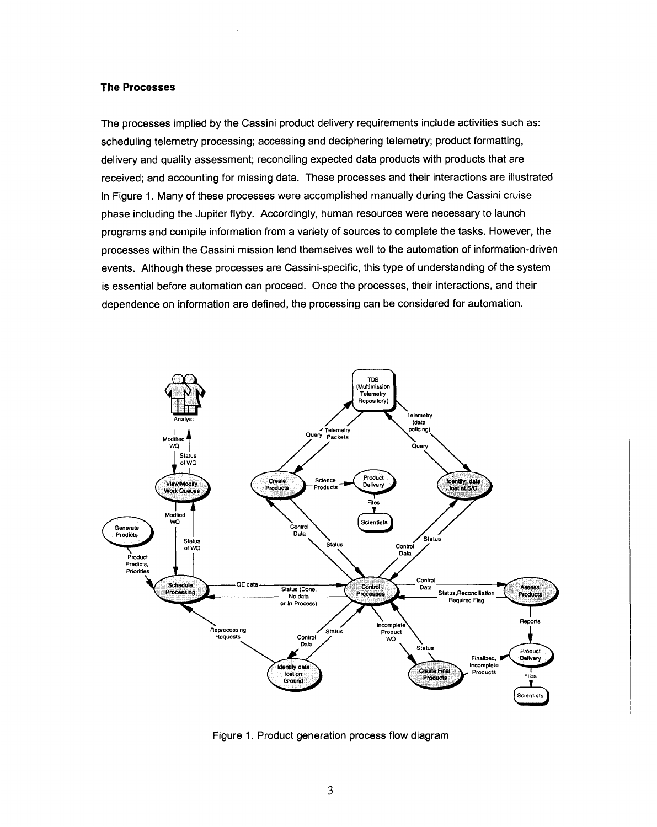#### **The Processes**

The processes implied by the Cassini product delivery requirements include activities such as: scheduling telemetry processing; accessing and deciphering telemetry; product formatting, delivery and quality assessment; reconciling expected data products with products that are received; and accounting for missing data. These processes and their interactions are illustrated in Figure 1. Many of these processes were accomplished manually during the Cassini cruise phase including the Jupiter flyby. Accordingly, human resources were necessary to launch programs and compile information from a variety of sources to complete the tasks. However, the processes within the Cassini mission lend themselves well to the automation of information-driven events. Although these processes are Cassini-specific, this type of understanding of the system is essential before automation can proceed. Once the processes, their interactions, and their dependence on information are defined, the processing can be considered for automation.



Figure 1. Product generation process flow diagram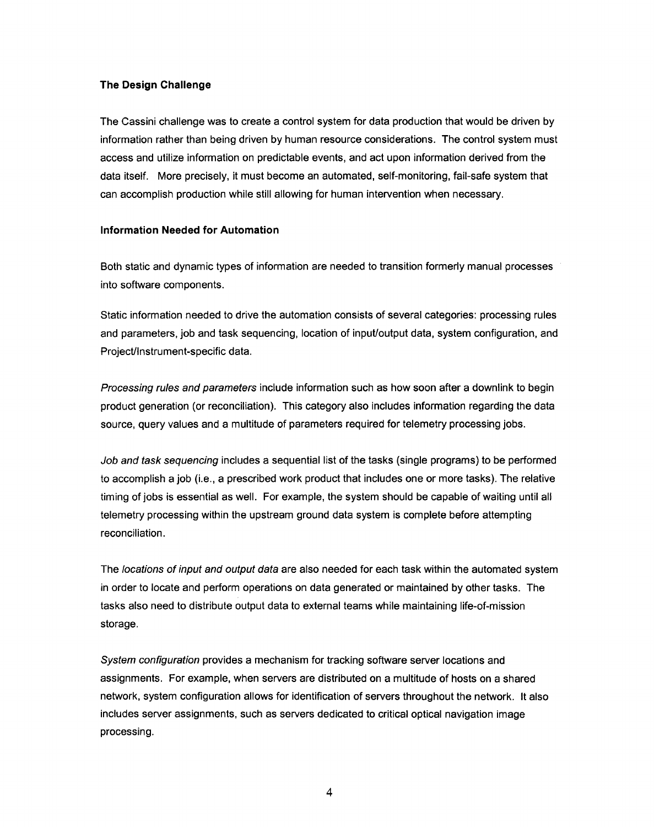# **The Design Challenge**

The Cassini challenge was to create a control system for data production that would be driven by information rather than being driven by human resource considerations. The control system must access and utilize information on predictable events, and act upon information derived from the data itself. More precisely, it must become an automated, self-monitoring, fail-safe system that can accomplish production while still allowing for human intervention when necessary.

## **Information Needed for Automation**

Both static and dynamic types of information are needed to transition formerly manual processes into software components.

Static information needed to drive the automation consists of several categories: processing rules and parameters, job and task sequencing, location of input/output data, system configuration, and Project/Instrument-specific data.

*Processing rules and parameters* include information such as how soon after a downlink to begin product generation (or reconciliation). This category also includes information regarding the data source, query values and a multitude of parameters required for telemetry processing jobs.

*Job and task sequencing* includes a sequential list of the tasks (single programs) to be performed to accomplish a job (i.e., a prescribed work product that includes one or more tasks). The relative timing of jobs is essential as well. For example, the system should be capable of waiting until all telemetry processing within the upstream ground data system is complete before attempting reconciliation.

The */ocations of input and output data* are also needed for each task within the automated system in order to locate and perform operations on data generated or maintained by other tasks. The tasks also need to distribute output data to external teams while maintaining life-of-mission storage.

*System configuration* provides a mechanism for tracking software server locations and assignments. For example, when servers are distributed on a multitude of hosts on a shared network, system configuration allows for identification of servers throughout the network. It also includes server assignments, such as servers dedicated to critical optical navigation image processing.

**4**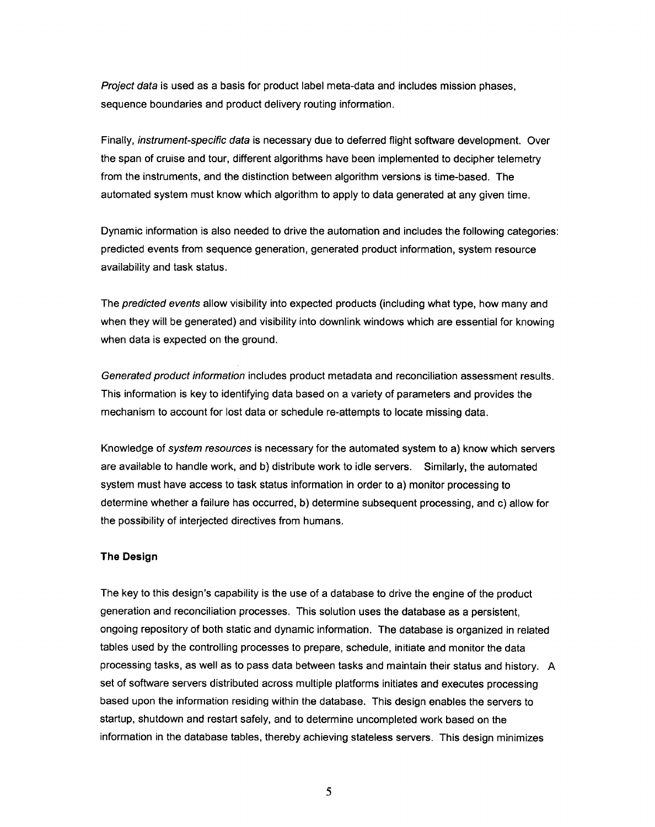*Project data* is used as a basis for product label meta-data and includes mission phases, sequence boundaries and product delivery routing information.

Finally, *insfrument-specific data* is necessary due to deferred flight software development. Over the span of cruise and tour, different algorithms have been implemented to decipher telemetry from the instruments, and the distinction between algorithm versions is time-based. The automated system must know which algorithm to apply to data generated at any given time.

Dynamic information is also needed to drive the automation and includes the following categories: predicted events from sequence generation, generated product information, system resource availability and task status.

The *predicted events* allow visibility into expected products (including what type, how many and when they will be generated) and visibility into downlink windows which are essential for knowing when data is expected on the ground.

*Generated product information* includes product metadata and reconciliation assessment results. This information is key to identifying data based on a variety of parameters and provides the mechanism to account for lost data or schedule re-attempts to locate missing data.

Knowledge of *system resources* is necessary for the automated system to a) know which servers are available to handle work, and b) distribute work to idle servers. Similarly, the automated system must have access to task status information in order to a) monitor processing to determine whether a failure has occurred, b) determine subsequent processing, and c) allow for the possibility of interjected directives from humans.

#### **The Design**

The key to this design's capability is the use of a database to drive the engine of the product generation and reconciliation processes. This solution uses the database as a persistent, ongoing repository of both static and dynamic information. The database is organized in related tables used by the controlling processes to prepare, schedule, initiate and monitor the data processing tasks, as well as to pass data between tasks and maintain their status and history. **A**  set of software servers distributed across multiple platforms initiates and executes processing based upon the information residing within the database. This design enables the servers to startup, shutdown and restart safely, and to determine uncompleted work based on the information in the database tables, thereby achieving stateless servers. This design minimizes

*5*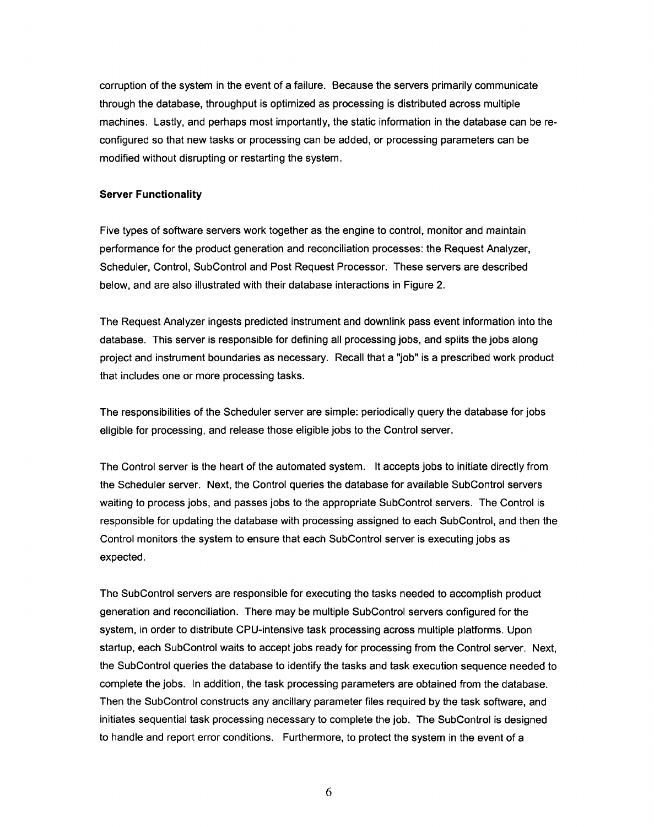corruption of the system in the event of a failure. Because the servers primarily communicate through the database, throughput is optimized as processing is distributed across multiple machines. Lastly, and perhaps most importantly, the static information in the database can be reconfigured **so** that new tasks or processing can be added, or processing parameters can be modified without disrupting or restarting the system.

### **Server Functionality**

Five types of software servers work together as the engine to control, monitor and maintain performance for the product generation and reconciliation processes: the Request Analyzer, Scheduler, Control, SubControl and Post Request Processor. These servers are described below, and are also illustrated with their database interactions in [Figure 2.](#page-6-0)

The Request Analyzer ingests predicted instrument and downlink pass event information into the database. This server is responsible for defining all processing jobs, and splits the jobs along project and instrument boundaries as necessary. Recall that a "job" is a prescribed work product that includes one or more processing tasks.

The responsibilities of the Scheduler server are simple: periodically query the database for jobs eligible for processing, and release those eligible jobs to the Control server.

The Control server is the heart of the automated system. It accepts jobs to initiate directly from the Scheduler server. Next, the Control queries the database for available SubControl servers waiting to process jobs, and passes jobs to the appropriate SubControl servers. The Control is responsible for updating the database with processing assigned to each SubControl, and then the Control monitors the system to ensure that each SubControl server is executing jobs as expected.

The SubControl servers are responsible for executing the tasks needed to accomplish product generation and reconciliation. There may be multiple SubControl servers configured for the system, in order to distribute CPU-intensive task processing across multiple platforms. Upon startup, each SubControl waits to accept jobs ready for processing from the Control server. Next, the SubControl queries the database to identify the tasks and task execution sequence needed to complete the jobs. In addition, the task processing parameters are obtained from the database. Then the SubControl constructs any ancillary parameter files required by the task software, and initiates sequential task processing necessary to complete the job. The SubControl is designed to handle and report error conditions. Furthermore, to protect the system in the event of a

**6**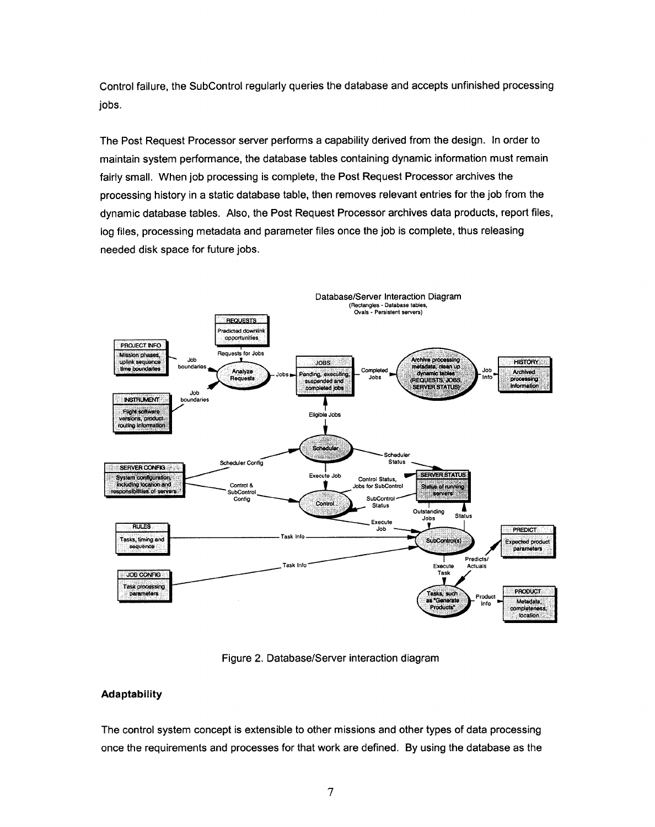<span id="page-6-0"></span>Control failure, the SubControl regularly queries the database and accepts unfinished processing jobs.

The Post Request Processor server performs a capability derived from the design. In order to maintain system performance, the database tables containing dynamic information must remain fairly small. When job processing is complete, the Post Request Processor archives the processing history in a static database table, then removes relevant entries for the job from the dynamic database tables. Also, the Post Request Processor archives data products, report files, log files, processing metadata and parameter files once the job is complete, thus releasing needed disk space for future jobs.



Figure 2. Database/Server interaction diagram

## **Adaptability**

The control system concept is extensible to other missions and other types of data processing once the requirements and processes for that work are defined. By using the database as the